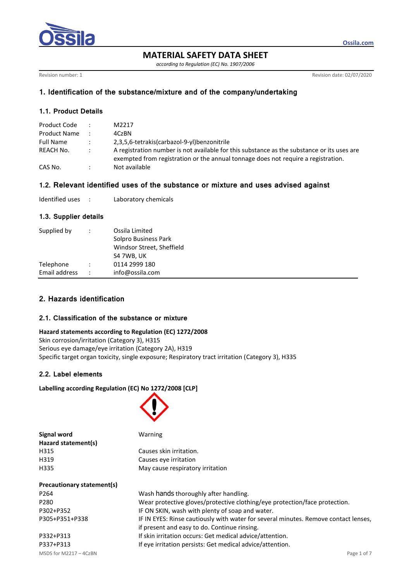

**MATERIAL SAFETY DATA SHEET**

*according to Regulation (EC) No. 1907/2006*

Revision number: 1 Revision date: 02/07/2020

**Ossila.com**

## **1. Identification of the substance/mixture and of the company/undertaking**

## **1.1. Product Details**

| Product Code        | $\mathbb{R}^{\mathbb{Z}}$ | M2217                                                                                                                                                                           |
|---------------------|---------------------------|---------------------------------------------------------------------------------------------------------------------------------------------------------------------------------|
| <b>Product Name</b> |                           | 4CzBN                                                                                                                                                                           |
| <b>Full Name</b>    | $\mathcal{L}$             | 2.3.5.6-tetrakis(carbazol-9-yl)benzonitrile                                                                                                                                     |
| REACH No.           | $\sim$ 100 $\sim$         | A registration number is not available for this substance as the substance or its uses are<br>exempted from registration or the annual tonnage does not require a registration. |
| CAS No.             |                           | Not available                                                                                                                                                                   |

### **1.2. Relevant identified uses of the substance or mixture and uses advised against**

| Identified uses |  | Laboratory chemicals |
|-----------------|--|----------------------|
|-----------------|--|----------------------|

#### **1.3. Supplier details**

| Supplied by   | Ossila Limited<br>Solpro Business Park<br>Windsor Street, Sheffield<br>S4 7WB, UK |
|---------------|-----------------------------------------------------------------------------------|
| Telephone     | 0114 2999 180                                                                     |
| Email address | info@ossila.com                                                                   |

# **2. Hazards identification**

### **2.1. Classification of the substance or mixture**

#### **Hazard statements according to Regulation (EC) 1272/2008**

Skin corrosion/irritation (Category 3), H315 Serious eye damage/eye irritation (Category 2A), H319 Specific target organ toxicity, single exposure; Respiratory tract irritation (Category 3), H335

## **2.2. Label elements**

### **Labelling according Regulation (EC) No 1272/2008 [CLP]**

**Signal word** Warning



| Hazard statement(s)        |                                                                                     |
|----------------------------|-------------------------------------------------------------------------------------|
| H315                       | Causes skin irritation.                                                             |
| H319                       | Causes eye irritation                                                               |
| H335                       | May cause respiratory irritation                                                    |
| Precautionary statement(s) |                                                                                     |
| P <sub>264</sub>           | Wash hands thoroughly after handling.                                               |
| P280                       | Wear protective gloves/protective clothing/eye protection/face protection.          |
| P302+P352                  | IF ON SKIN, wash with plenty of soap and water.                                     |
| P305+P351+P338             | IF IN EYES: Rinse cautiously with water for several minutes. Remove contact lenses, |

if present and easy to do. Continue rinsing.

MSDS for M2217 – 4CzBN Page 1 of 7 P332+P313 If skin irritation occurs: Get medical advice/attention. P337+P313 If eye irritation persists: Get medical advice/attention.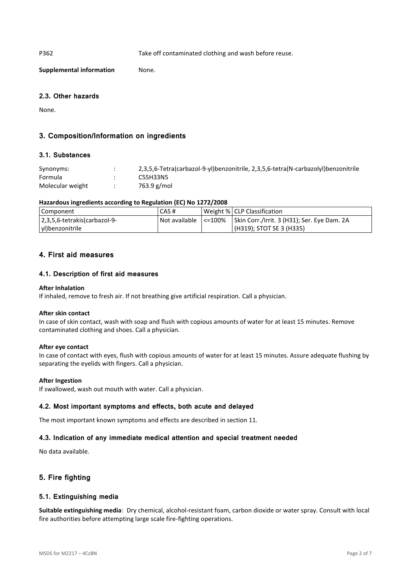P362 Take off contaminated clothing and wash before reuse.

**Supplemental information** None.

### **2.3. Other hazards**

None.

# **3. Composition/Information on ingredients**

### **3.1. Substances**

| Synonyms:        | 2,3,5,6-Tetra(carbazol-9-yl)benzonitrile, 2,3,5,6-tetra(N-carbazolyl)benzonitrile |
|------------------|-----------------------------------------------------------------------------------|
| Formula          | C55H33N5                                                                          |
| Molecular weight | 763.9 g/mol                                                                       |

### **Hazardous ingredients according to Regulation (EC) No 1272/2008**

| Component                     | CAS # | Weight % CLP Classification                                          |
|-------------------------------|-------|----------------------------------------------------------------------|
| 2,3,5,6-tetrakis (carbazol-9- |       | Not available   <=100%   Skin Corr./Irrit. 3 (H31); Ser. Eye Dam. 2A |
| yl)benzonitrile               |       | (H319); STOT SE 3 (H335)                                             |

## **4. First aid measures**

### **4.1. Description of first aid measures**

#### **After Inhalation**

If inhaled, remove to fresh air. If not breathing give artificial respiration. Call a physician.

#### **After skin contact**

In case of skin contact, wash with soap and flush with copious amounts of water for at least 15 minutes. Remove contaminated clothing and shoes. Call a physician.

### **After eye contact**

In case of contact with eyes, flush with copious amounts of water for at least 15 minutes. Assure adequate flushing by separating the eyelids with fingers. Call a physician.

#### **After Ingestion**

If swallowed, wash out mouth with water. Call a physician.

### **4.2. Most important symptoms and effects, both acute and delayed**

The most important known symptoms and effects are described in section 11.

### **4.3. Indication of any immediate medical attention and special treatment needed**

No data available.

## **5. Fire fighting**

### **5.1. Extinguishing media**

**Suitable extinguishing media**: Dry chemical, alcohol-resistant foam, carbon dioxide or water spray. Consult with local fire authorities before attempting large scale fire-fighting operations.

MSDS for M2217 – 4CzBN Page 2 of 7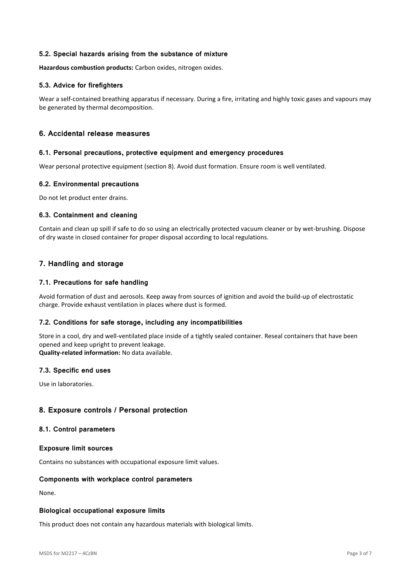### **5.2. Special hazards arising from the substance of mixture**

**Hazardous combustion products:** Carbon oxides, nitrogen oxides.

### **5.3. Advice for firefighters**

Wear a self-contained breathing apparatus if necessary. During a fire, irritating and highly toxic gases and vapours may be generated by thermal decomposition.

## **6. Accidental release measures**

#### **6.1. Personal precautions, protective equipment and emergency procedures**

Wear personal protective equipment (section 8). Avoid dust formation. Ensure room is well ventilated.

### **6.2. Environmental precautions**

Do not let product enter drains.

### **6.3. Containment and cleaning**

Contain and clean up spill if safe to do so using an electrically protected vacuum cleaner or by wet-brushing. Dispose of dry waste in closed container for proper disposal according to local regulations.

### **7. Handling and storage**

### **7.1. Precautions for safe handling**

Avoid formation of dust and aerosols. Keep away from sources of ignition and avoid the build-up of electrostatic charge. Provide exhaust ventilation in places where dust is formed.

### **7.2. Conditions for safe storage, including any incompatibilities**

Store in a cool, dry and well-ventilated place inside of a tightly sealed container. Reseal containers that have been opened and keep upright to prevent leakage.

**Quality-related information:** No data available.

### **7.3. Specific end uses**

Use in laboratories.

### **8. Exposure controls / Personal protection**

#### **8.1. Control parameters**

#### **Exposure limit sources**

Contains no substances with occupational exposure limit values.

### **Components with workplace control parameters**

None.

#### **Biological occupational exposure limits**

This product does not contain any hazardous materials with biological limits.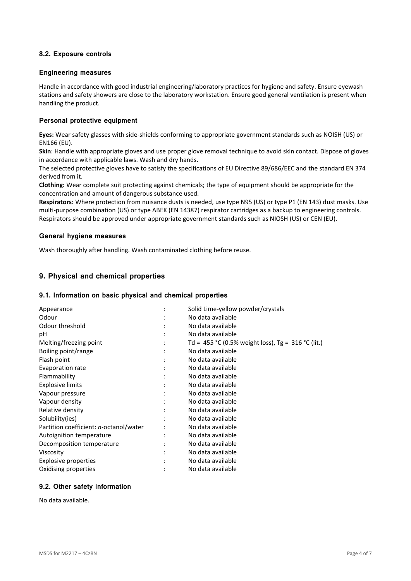## **8.2. Exposure controls**

#### **Engineering measures**

Handle in accordance with good industrial engineering/laboratory practices for hygiene and safety. Ensure eyewash stations and safety showers are close to the laboratory workstation. Ensure good general ventilation is present when handling the product.

### **Personal protective equipment**

**Eyes:** Wear safety glasses with side-shields conforming to appropriate government standards such as NOISH (US) or EN166 (EU).

**Skin**: Handle with appropriate gloves and use proper glove removal technique to avoid skin contact. Dispose of gloves in accordance with applicable laws. Wash and dry hands.

The selected protective gloves have to satisfy the specifications of EU Directive 89/686/EEC and the standard EN 374 derived from it.

**Clothing:** Wear complete suit protecting against chemicals; the type of equipment should be appropriate for the concentration and amount of dangerous substance used.

**Respirators:** Where protection from nuisance dusts is needed, use type N95 (US) or type P1 (EN 143) dust masks. Use multi-purpose combination (US) or type ABEK (EN 14387) respirator cartridges as a backup to engineering controls. Respirators should be approved under appropriate government standards such as NIOSH (US) or CEN (EU).

#### **General hygiene measures**

Wash thoroughly after handling. Wash contaminated clothing before reuse.

## **9. Physical and chemical properties**

### **9.1. Information on basic physical and chemical properties**

| Appearance                             | Solid Lime-yellow powder/crystals                  |
|----------------------------------------|----------------------------------------------------|
| Odour                                  | No data available                                  |
| Odour threshold                        | No data available                                  |
| рH                                     | No data available                                  |
| Melting/freezing point                 | Td = 455 °C (0.5% weight loss), Tg = 316 °C (lit.) |
| Boiling point/range                    | No data available                                  |
| Flash point                            | No data available                                  |
| Evaporation rate                       | No data available                                  |
| Flammability                           | No data available                                  |
| <b>Explosive limits</b>                | No data available                                  |
| Vapour pressure                        | No data available                                  |
| Vapour density                         | No data available                                  |
| Relative density                       | No data available                                  |
| Solubility(ies)                        | No data available                                  |
| Partition coefficient: n-octanol/water | No data available                                  |
| Autoignition temperature               | No data available                                  |
| Decomposition temperature              | No data available                                  |
| Viscosity                              | No data available                                  |
| <b>Explosive properties</b>            | No data available                                  |
| Oxidising properties                   | No data available                                  |

### **9.2. Other safety information**

No data available.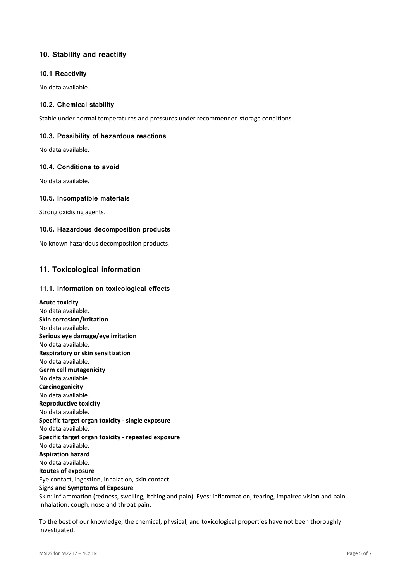# **10. Stability and reactiity**

### **10.1 Reactivity**

No data available.

### **10.2. Chemical stability**

Stable under normal temperatures and pressures under recommended storage conditions.

### **10.3. Possibility of hazardous reactions**

No data available.

### **10.4. Conditions to avoid**

No data available.

### **10.5. Incompatible materials**

Strong oxidising agents.

### **10.6. Hazardous decomposition products**

No known hazardous decomposition products.

# **11. Toxicological information**

### **11.1. Information on toxicological effects**

**Acute toxicity** No data available. **Skin corrosion/irritation** No data available. **Serious eye damage/eye irritation** No data available. **Respiratory or skin sensitization** No data available. **Germ cell mutagenicity** No data available. **Carcinogenicity** No data available. **Reproductive toxicity** No data available. **Specific target organ toxicity - single exposure** No data available. **Specific target organ toxicity - repeated exposure** No data available. **Aspiration hazard** No data available. **Routes of exposure** Eye contact, ingestion, inhalation, skin contact. **Signs and Symptoms of Exposure** Skin: inflammation (redness, swelling, itching and pain). Eyes: inflammation, tearing, impaired vision and pain. Inhalation: cough, nose and throat pain.

To the best of our knowledge, the chemical, physical, and toxicological properties have not been thoroughly investigated.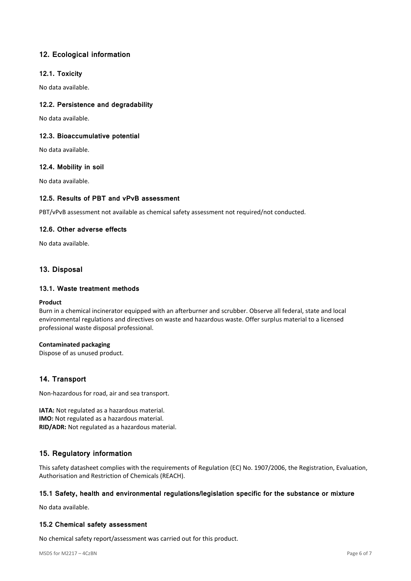# **12. Ecological information**

### **12.1. Toxicity**

No data available.

### **12.2. Persistence and degradability**

No data available.

### **12.3. Bioaccumulative potential**

No data available.

### **12.4. Mobility in soil**

No data available.

### **12.5. Results of PBT and vPvB assessment**

PBT/vPvB assessment not available as chemical safety assessment not required/not conducted.

### **12.6. Other adverse effects**

No data available.

## **13. Disposal**

### **13.1. Waste treatment methods**

#### **Product**

Burn in a chemical incinerator equipped with an afterburner and scrubber. Observe all federal, state and local environmental regulations and directives on waste and hazardous waste. Offer surplus material to a licensed professional waste disposal professional.

### **Contaminated packaging**

Dispose of as unused product.

## **14. Transport**

Non-hazardous for road, air and sea transport.

**IATA:** Not regulated as a hazardous material. **IMO:** Not regulated as a hazardous material. **RID/ADR:** Not regulated as a hazardous material.

## **15. Regulatory information**

This safety datasheet complies with the requirements of Regulation (EC) No. 1907/2006, the Registration, Evaluation, Authorisation and Restriction of Chemicals (REACH).

### **15.1 Safety, health and environmental regulations/legislation specific for the substance or mixture**

No data available.

### **15.2 Chemical safety assessment**

No chemical safety report/assessment was carried out for this product.